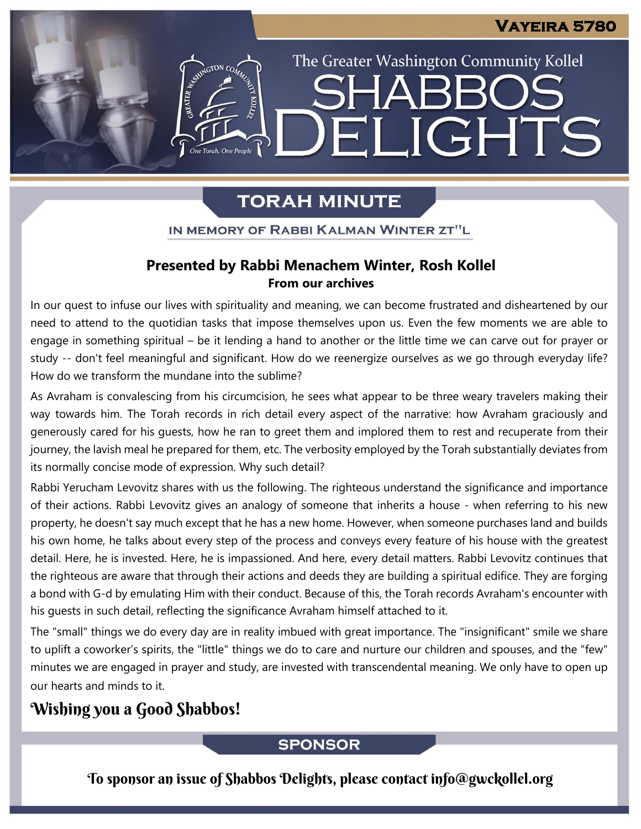The Greater Washington Community Kollel

ELIGHTS

# **TORAH MINUTE**

EMERGION CON

One Torah, One People

## IN MEMORY OF RABBI KALMAN WINTER ZT"L

# Presented by Rabbi Menachem Winter, Rosh Kollel **From our archives**

In our quest to infuse our lives with spirituality and meaning, we can become frustrated and disheartened by our need to attend to the quotidian tasks that impose themselves upon us. Even the few moments we are able to engage in something spiritual – be it lending a hand to another or the little time we can carve out for prayer or study -- don't feel meaningful and significant. How do we reenergize ourselves as we go through everyday life? How do we transform the mundane into the sublime?

As Avraham is convalescing from his circumcision, he sees what appear to be three weary travelers making their way towards him. The Torah records in rich detail every aspect of the narrative: how Avraham graciously and generously cared for his guests, how he ran to greet them and implored them to rest and recuperate from their journey, the lavish meal he prepared for them, etc. The verbosity employed by the Torah substantially deviates from its normally concise mode of expression. Why such detail?

Rabbi Yerucham Levovitz shares with us the following. The righteous understand the significance and importance of their actions. Rabbi Levovitz gives an analogy of someone that inherits a house - when referring to his new property, he doesn't say much except that he has a new home. However, when someone purchases land and builds his own home, he talks about every step of the process and conveys every feature of his house with the greatest detail. Here, he is invested. Here, he is impassioned. And here, every detail matters. Rabbi Levovitz continues that the righteous are aware that through their actions and deeds they are building a spiritual edifice. They are forging a bond with G-d by emulating Him with their conduct. Because of this, the Torah records Avraham's encounter with his guests in such detail, reflecting the significance Avraham himself attached to it.

The "small" things we do every day are in reality imbued with great importance. The "insignificant" smile we share to uplift a coworker's spirits, the "little" things we do to care and nurture our children and spouses, and the "few" minutes we are engaged in prayer and study, are invested with transcendental meaning. We only have to open up our hearts and minds to it.

# Wishing you a Good Shabbos!

# **SPONSOR**

To sponsor an issue of Shabbos Delights, please contact info@gwckollel.org